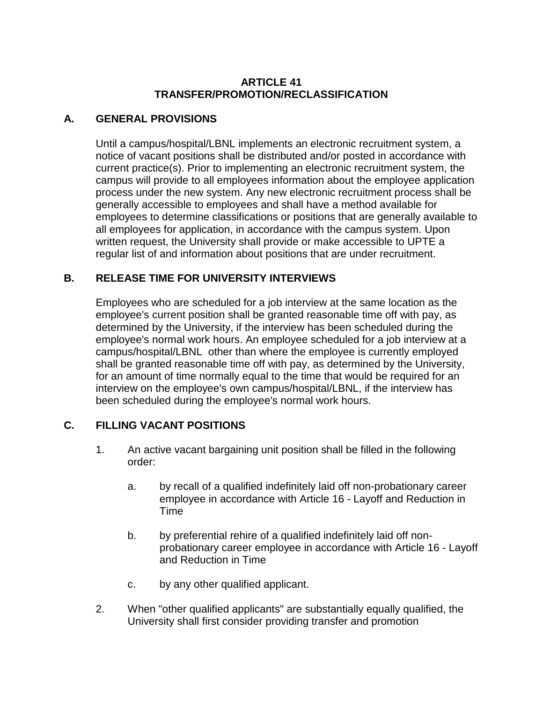### **ARTICLE 41 TRANSFER/PROMOTION/RECLASSIFICATION**

# **A. GENERAL PROVISIONS**

Until a campus/hospital/LBNL implements an electronic recruitment system, a notice of vacant positions shall be distributed and/or posted in accordance with current practice(s). Prior to implementing an electronic recruitment system, the campus will provide to all employees information about the employee application process under the new system. Any new electronic recruitment process shall be generally accessible to employees and shall have a method available for employees to determine classifications or positions that are generally available to all employees for application, in accordance with the campus system. Upon written request, the University shall provide or make accessible to UPTE a regular list of and information about positions that are under recruitment.

## **B. RELEASE TIME FOR UNIVERSITY INTERVIEWS**

Employees who are scheduled for a job interview at the same location as the employee's current position shall be granted reasonable time off with pay, as determined by the University, if the interview has been scheduled during the employee's normal work hours. An employee scheduled for a job interview at a campus/hospital/LBNL other than where the employee is currently employed shall be granted reasonable time off with pay, as determined by the University, for an amount of time normally equal to the time that would be required for an interview on the employee's own campus/hospital/LBNL, if the interview has been scheduled during the employee's normal work hours.

## **C. FILLING VACANT POSITIONS**

- 1. An active vacant bargaining unit position shall be filled in the following order:
	- a. by recall of a qualified indefinitely laid off non-probationary career employee in accordance with Article 16 - Layoff and Reduction in Time
	- b. by preferential rehire of a qualified indefinitely laid off nonprobationary career employee in accordance with Article 16 - Layoff and Reduction in Time
	- c. by any other qualified applicant.
- 2. When "other qualified applicants" are substantially equally qualified, the University shall first consider providing transfer and promotion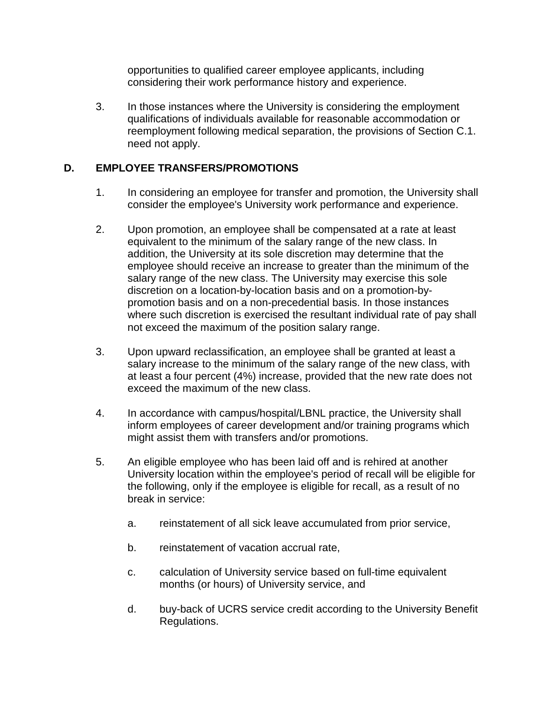opportunities to qualified career employee applicants, including considering their work performance history and experience.

3. In those instances where the University is considering the employment qualifications of individuals available for reasonable accommodation or reemployment following medical separation, the provisions of Section C.1. need not apply.

## **D. EMPLOYEE TRANSFERS/PROMOTIONS**

- 1. In considering an employee for transfer and promotion, the University shall consider the employee's University work performance and experience.
- 2. Upon promotion, an employee shall be compensated at a rate at least equivalent to the minimum of the salary range of the new class. In addition, the University at its sole discretion may determine that the employee should receive an increase to greater than the minimum of the salary range of the new class. The University may exercise this sole discretion on a location-by-location basis and on a promotion-bypromotion basis and on a non-precedential basis. In those instances where such discretion is exercised the resultant individual rate of pay shall not exceed the maximum of the position salary range.
- 3. Upon upward reclassification, an employee shall be granted at least a salary increase to the minimum of the salary range of the new class, with at least a four percent (4%) increase, provided that the new rate does not exceed the maximum of the new class.
- 4. In accordance with campus/hospital/LBNL practice, the University shall inform employees of career development and/or training programs which might assist them with transfers and/or promotions.
- 5. An eligible employee who has been laid off and is rehired at another University location within the employee's period of recall will be eligible for the following, only if the employee is eligible for recall, as a result of no break in service:
	- a. reinstatement of all sick leave accumulated from prior service,
	- b. reinstatement of vacation accrual rate.
	- c. calculation of University service based on full-time equivalent months (or hours) of University service, and
	- d. buy-back of UCRS service credit according to the University Benefit Regulations.